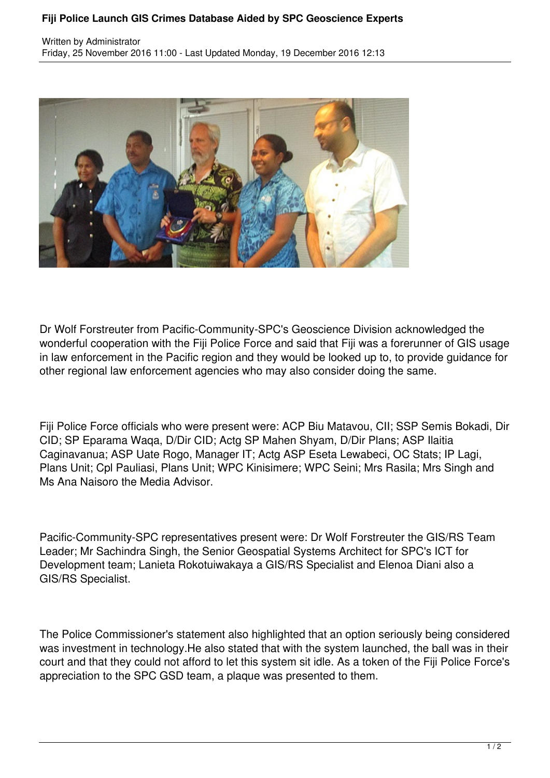## **Fiji Police Launch GIS Crimes Database Aided by SPC Geoscience Experts**



Dr Wolf Forstreuter from Pacific-Community-SPC's Geoscience Division acknowledged the wonderful cooperation with the Fiji Police Force and said that Fiji was a forerunner of GIS usage in law enforcement in the Pacific region and they would be looked up to, to provide guidance for other regional law enforcement agencies who may also consider doing the same.

Fiji Police Force officials who were present were: ACP Biu Matavou, CII; SSP Semis Bokadi, Dir CID; SP Eparama Waqa, D/Dir CID; Actg SP Mahen Shyam, D/Dir Plans; ASP Ilaitia Caginavanua; ASP Uate Rogo, Manager IT; Actg ASP Eseta Lewabeci, OC Stats; IP Lagi, Plans Unit; Cpl Pauliasi, Plans Unit; WPC Kinisimere; WPC Seini; Mrs Rasila; Mrs Singh and Ms Ana Naisoro the Media Advisor.

Pacific-Community-SPC representatives present were: Dr Wolf Forstreuter the GIS/RS Team Leader; Mr Sachindra Singh, the Senior Geospatial Systems Architect for SPC's ICT for Development team; Lanieta Rokotuiwakaya a GIS/RS Specialist and Elenoa Diani also a GIS/RS Specialist.

The Police Commissioner's statement also highlighted that an option seriously being considered was investment in technology.He also stated that with the system launched, the ball was in their court and that they could not afford to let this system sit idle. As a token of the Fiji Police Force's appreciation to the SPC GSD team, a plaque was presented to them.